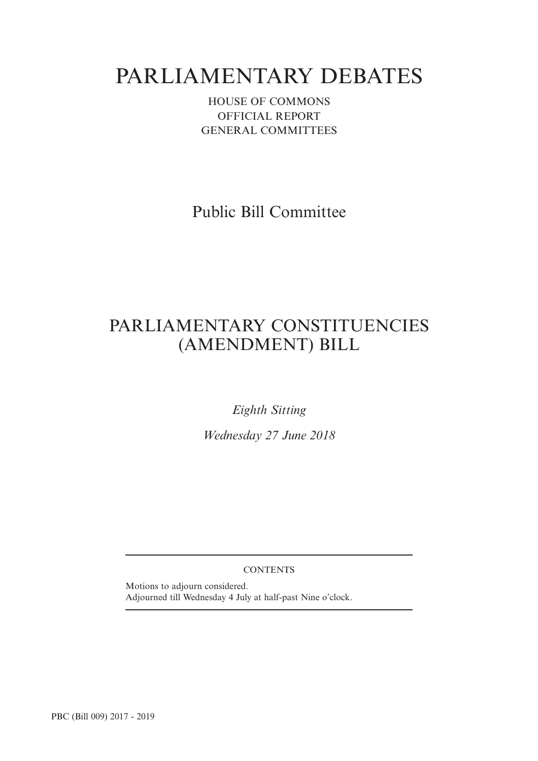# PARLIAMENTARY DEBATES

HOUSE OF COMMONS OFFICIAL REPORT GENERAL COMMITTEES

Public Bill Committee

## PARLIAMENTARY CONSTITUENCIES (AMENDMENT) BILL

*Eighth Sitting*

*Wednesday 27 June 2018*

**CONTENTS** 

Motions to adjourn considered. Adjourned till Wednesday 4 July at half-past Nine o'clock.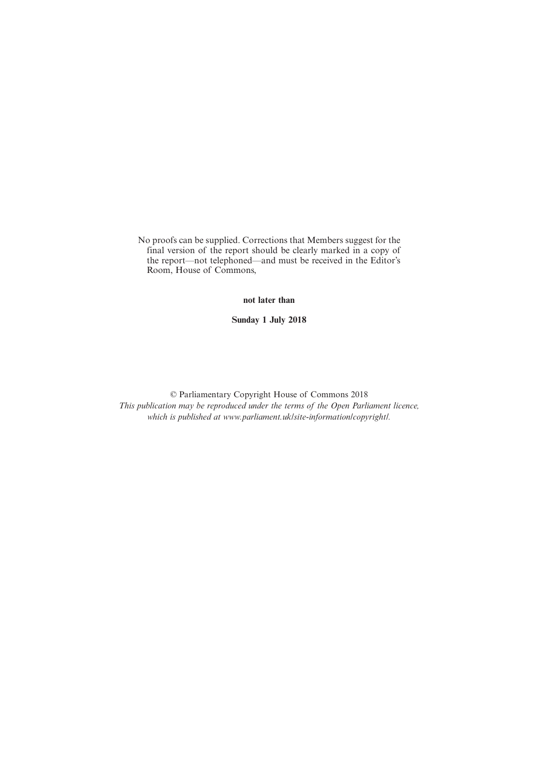No proofs can be supplied. Corrections that Members suggest for the final version of the report should be clearly marked in a copy of the report—not telephoned—and must be received in the Editor's Room, House of Commons,

**not later than**

**Sunday 1 July 2018**

© Parliamentary Copyright House of Commons 2018 *This publication may be reproduced under the terms of the Open Parliament licence, which is published at www.parliament.uk/site-information/copyright/.*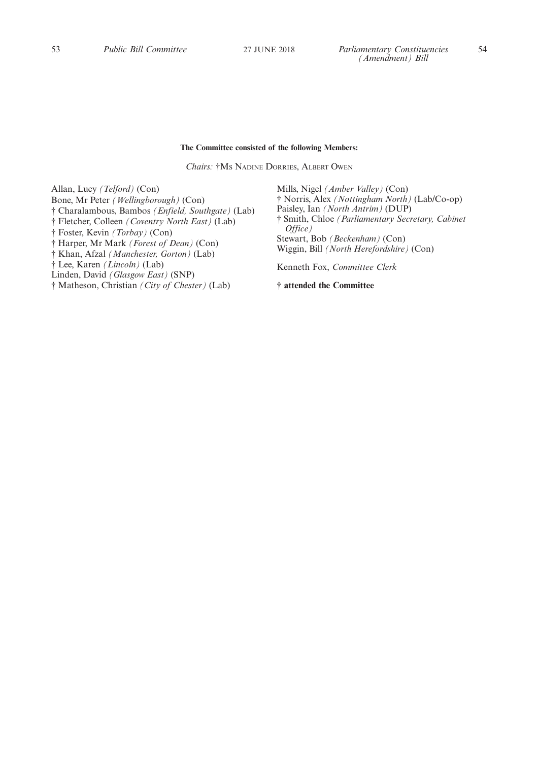#### **The Committee consisted of the following Members:**

*Chairs:* †M<sup>S</sup> NADINE DORRIES, ALBERT OWEN

Allan, Lucy *(Telford)* (Con) Bone, Mr Peter *(Wellingborough)* (Con) † Charalambous, Bambos *(Enfield, Southgate)* (Lab) † Fletcher, Colleen *(Coventry North East)* (Lab) † Foster, Kevin *(Torbay)* (Con) † Harper, Mr Mark *(Forest of Dean)* (Con) † Khan, Afzal *(Manchester, Gorton)* (Lab) † Lee, Karen *(Lincoln)* (Lab) Linden, David *(Glasgow East)* (SNP)

† Matheson, Christian *(City of Chester)* (Lab)

Mills, Nigel *(Amber Valley)* (Con) † Norris, Alex *(Nottingham North)* (Lab/Co-op) Paisley, Ian *(North Antrim)* (DUP) † Smith, Chloe *(Parliamentary Secretary, Cabinet Office)* Stewart, Bob *(Beckenham)* (Con) Wiggin, Bill *(North Herefordshire)* (Con) Kenneth Fox, *Committee Clerk*

**† attended the Committee**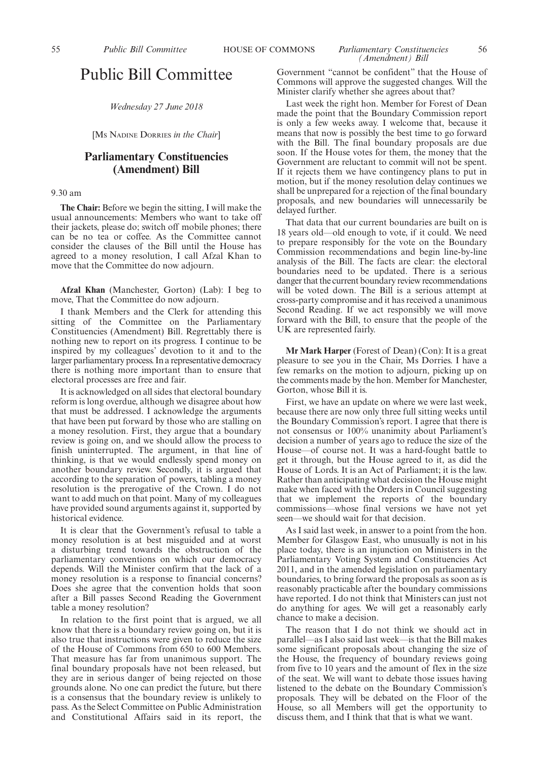#### 55 *Public Bill Committee* HOUSE OF COMMONS *Parliamentary Constituencies* 56 *(Amendment) Bill*

*Wednesday 27 June 2018*

[M<sup>S</sup> NADINE DORRIES *in the Chair*]

### **Parliamentary Constituencies (Amendment) Bill**

#### 9.30 am

**The Chair:** Before we begin the sitting, I will make the usual announcements: Members who want to take off their jackets, please do; switch off mobile phones; there can be no tea or coffee. As the Committee cannot consider the clauses of the Bill until the House has agreed to a money resolution, I call Afzal Khan to move that the Committee do now adjourn.

**Afzal Khan** (Manchester, Gorton) (Lab): I beg to move, That the Committee do now adjourn.

I thank Members and the Clerk for attending this sitting of the Committee on the Parliamentary Constituencies (Amendment) Bill. Regrettably there is nothing new to report on its progress. I continue to be inspired by my colleagues' devotion to it and to the larger parliamentary process. In a representative democracy there is nothing more important than to ensure that electoral processes are free and fair.

It is acknowledged on all sides that electoral boundary reform is long overdue, although we disagree about how that must be addressed. I acknowledge the arguments that have been put forward by those who are stalling on a money resolution. First, they argue that a boundary review is going on, and we should allow the process to finish uninterrupted. The argument, in that line of thinking, is that we would endlessly spend money on another boundary review. Secondly, it is argued that according to the separation of powers, tabling a money resolution is the prerogative of the Crown. I do not want to add much on that point. Many of my colleagues have provided sound arguments against it, supported by historical evidence.

It is clear that the Government's refusal to table a money resolution is at best misguided and at worst a disturbing trend towards the obstruction of the parliamentary conventions on which our democracy depends. Will the Minister confirm that the lack of a money resolution is a response to financial concerns? Does she agree that the convention holds that soon after a Bill passes Second Reading the Government table a money resolution?

In relation to the first point that is argued, we all know that there is a boundary review going on, but it is also true that instructions were given to reduce the size of the House of Commons from 650 to 600 Members. That measure has far from unanimous support. The final boundary proposals have not been released, but they are in serious danger of being rejected on those grounds alone. No one can predict the future, but there is a consensus that the boundary review is unlikely to pass. As the Select Committee on Public Administration and Constitutional Affairs said in its report, the Government "cannot be confident" that the House of Commons will approve the suggested changes. Will the Minister clarify whether she agrees about that?

Last week the right hon. Member for Forest of Dean made the point that the Boundary Commission report is only a few weeks away. I welcome that, because it means that now is possibly the best time to go forward with the Bill. The final boundary proposals are due soon. If the House votes for them, the money that the Government are reluctant to commit will not be spent. If it rejects them we have contingency plans to put in motion, but if the money resolution delay continues we shall be unprepared for a rejection of the final boundary proposals, and new boundaries will unnecessarily be delayed further.

That data that our current boundaries are built on is 18 years old—old enough to vote, if it could. We need to prepare responsibly for the vote on the Boundary Commission recommendations and begin line-by-line analysis of the Bill. The facts are clear: the electoral boundaries need to be updated. There is a serious danger that the current boundary review recommendations will be voted down. The Bill is a serious attempt at cross-party compromise and it has received a unanimous Second Reading. If we act responsibly we will move forward with the Bill, to ensure that the people of the UK are represented fairly.

**Mr Mark Harper** (Forest of Dean) (Con): It is a great pleasure to see you in the Chair, Ms Dorries. I have a few remarks on the motion to adjourn, picking up on the comments made by the hon. Member for Manchester, Gorton, whose Bill it is.

First, we have an update on where we were last week, because there are now only three full sitting weeks until the Boundary Commission's report. I agree that there is not consensus or 100% unanimity about Parliament's decision a number of years ago to reduce the size of the House—of course not. It was a hard-fought battle to get it through, but the House agreed to it, as did the House of Lords. It is an Act of Parliament; it is the law. Rather than anticipating what decision the House might make when faced with the Orders in Council suggesting that we implement the reports of the boundary commissions—whose final versions we have not yet seen—we should wait for that decision.

As I said last week, in answer to a point from the hon. Member for Glasgow East, who unusually is not in his place today, there is an injunction on Ministers in the Parliamentary Voting System and Constituencies Act 2011, and in the amended legislation on parliamentary boundaries, to bring forward the proposals as soon as is reasonably practicable after the boundary commissions have reported. I do not think that Ministers can just not do anything for ages. We will get a reasonably early chance to make a decision.

The reason that I do not think we should act in parallel—as I also said last week—is that the Bill makes some significant proposals about changing the size of the House, the frequency of boundary reviews going from five to 10 years and the amount of flex in the size of the seat. We will want to debate those issues having listened to the debate on the Boundary Commission's proposals. They will be debated on the Floor of the House, so all Members will get the opportunity to discuss them, and I think that that is what we want.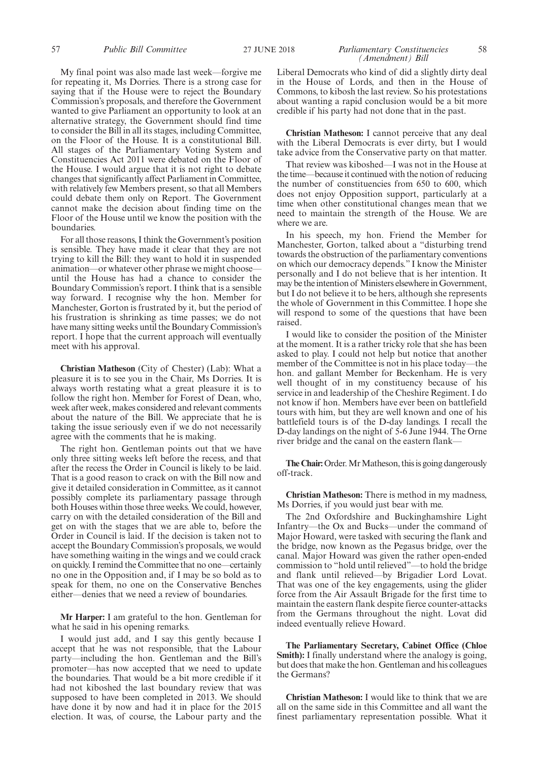My final point was also made last week—forgive me for repeating it, Ms Dorries. There is a strong case for saying that if the House were to reject the Boundary Commission's proposals, and therefore the Government wanted to give Parliament an opportunity to look at an alternative strategy, the Government should find time to consider the Bill in all its stages, including Committee, on the Floor of the House. It is a constitutional Bill. All stages of the Parliamentary Voting System and Constituencies Act 2011 were debated on the Floor of the House. I would argue that it is not right to debate changes that significantly affect Parliament in Committee, with relatively few Members present, so that all Members could debate them only on Report. The Government cannot make the decision about finding time on the Floor of the House until we know the position with the boundaries.

For all those reasons, I think the Government's position is sensible. They have made it clear that they are not trying to kill the Bill: they want to hold it in suspended animation—or whatever other phrase we might choose until the House has had a chance to consider the Boundary Commission's report. I think that is a sensible way forward. I recognise why the hon. Member for Manchester, Gorton is frustrated by it, but the period of his frustration is shrinking as time passes; we do not have many sitting weeks until the Boundary Commission's report. I hope that the current approach will eventually meet with his approval.

**Christian Matheson** (City of Chester) (Lab): What a pleasure it is to see you in the Chair, Ms Dorries. It is always worth restating what a great pleasure it is to follow the right hon. Member for Forest of Dean, who, week after week, makes considered and relevant comments about the nature of the Bill. We appreciate that he is taking the issue seriously even if we do not necessarily agree with the comments that he is making.

The right hon. Gentleman points out that we have only three sitting weeks left before the recess, and that after the recess the Order in Council is likely to be laid. That is a good reason to crack on with the Bill now and give it detailed consideration in Committee, as it cannot possibly complete its parliamentary passage through both Houses within those three weeks. We could, however, carry on with the detailed consideration of the Bill and get on with the stages that we are able to, before the Order in Council is laid. If the decision is taken not to accept the Boundary Commission's proposals, we would have something waiting in the wings and we could crack on quickly. I remind the Committee that no one—certainly no one in the Opposition and, if I may be so bold as to speak for them, no one on the Conservative Benches either—denies that we need a review of boundaries.

**Mr Harper:** I am grateful to the hon. Gentleman for what he said in his opening remarks.

I would just add, and I say this gently because I accept that he was not responsible, that the Labour party—including the hon. Gentleman and the Bill's promoter—has now accepted that we need to update the boundaries. That would be a bit more credible if it had not kiboshed the last boundary review that was supposed to have been completed in 2013. We should have done it by now and had it in place for the 2015 election. It was, of course, the Labour party and the Liberal Democrats who kind of did a slightly dirty deal in the House of Lords, and then in the House of Commons, to kibosh the last review. So his protestations about wanting a rapid conclusion would be a bit more credible if his party had not done that in the past.

**Christian Matheson:** I cannot perceive that any deal with the Liberal Democrats is ever dirty, but I would take advice from the Conservative party on that matter.

That review was kiboshed—I was not in the House at the time—because it continued with the notion of reducing the number of constituencies from 650 to 600, which does not enjoy Opposition support, particularly at a time when other constitutional changes mean that we need to maintain the strength of the House. We are where we are.

In his speech, my hon. Friend the Member for Manchester, Gorton, talked about a "disturbing trend towards the obstruction of the parliamentary conventions on which our democracy depends." I know the Minister personally and I do not believe that is her intention. It may be the intention of Ministers elsewhere in Government, but I do not believe it to be hers, although she represents the whole of Government in this Committee. I hope she will respond to some of the questions that have been raised.

I would like to consider the position of the Minister at the moment. It is a rather tricky role that she has been asked to play. I could not help but notice that another member of the Committee is not in his place today—the hon. and gallant Member for Beckenham. He is very well thought of in my constituency because of his service in and leadership of the Cheshire Regiment. I do not know if hon. Members have ever been on battlefield tours with him, but they are well known and one of his battlefield tours is of the D-day landings. I recall the D-day landings on the night of 5-6 June 1944. The Orne river bridge and the canal on the eastern flank—

**The Chair:**Order. Mr Matheson, this is going dangerously off-track.

**Christian Matheson:** There is method in my madness, Ms Dorries, if you would just bear with me.

The 2nd Oxfordshire and Buckinghamshire Light Infantry—the Ox and Bucks—under the command of Major Howard, were tasked with securing the flank and the bridge, now known as the Pegasus bridge, over the canal. Major Howard was given the rather open-ended commission to "hold until relieved"—to hold the bridge and flank until relieved—by Brigadier Lord Lovat. That was one of the key engagements, using the glider force from the Air Assault Brigade for the first time to maintain the eastern flank despite fierce counter-attacks from the Germans throughout the night. Lovat did indeed eventually relieve Howard.

**The Parliamentary Secretary, Cabinet Office (Chloe Smith):** I finally understand where the analogy is going, but does that make the hon. Gentleman and his colleagues the Germans?

**Christian Matheson:** I would like to think that we are all on the same side in this Committee and all want the finest parliamentary representation possible. What it